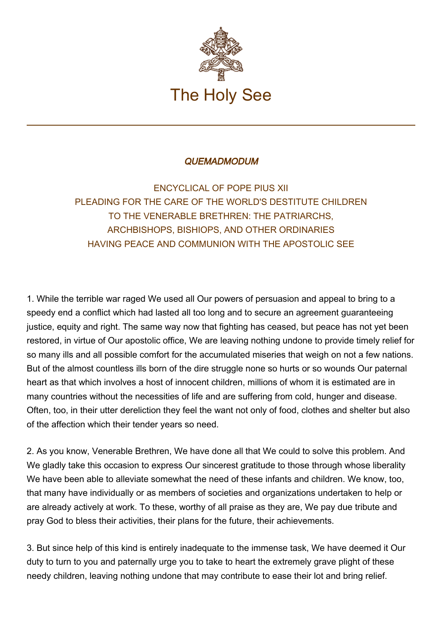

## **QUEMADMODUM**

ENCYCLICAL OF POPE PIUS XII PLEADING FOR THE CARE OF THE WORLD'S DESTITUTE CHILDREN TO THE VENERABLE BRETHREN: THE PATRIARCHS, ARCHBISHOPS, BISHIOPS, AND OTHER ORDINARIES HAVING PEACE AND COMMUNION WITH THE APOSTOLIC SEE

1. While the terrible war raged We used all Our powers of persuasion and appeal to bring to a speedy end a conflict which had lasted all too long and to secure an agreement guaranteeing justice, equity and right. The same way now that fighting has ceased, but peace has not yet been restored, in virtue of Our apostolic office, We are leaving nothing undone to provide timely relief for so many ills and all possible comfort for the accumulated miseries that weigh on not a few nations. But of the almost countless ills born of the dire struggle none so hurts or so wounds Our paternal heart as that which involves a host of innocent children, millions of whom it is estimated are in many countries without the necessities of life and are suffering from cold, hunger and disease. Often, too, in their utter dereliction they feel the want not only of food, clothes and shelter but also of the affection which their tender years so need.

2. As you know, Venerable Brethren, We have done all that We could to solve this problem. And We gladly take this occasion to express Our sincerest gratitude to those through whose liberality We have been able to alleviate somewhat the need of these infants and children. We know, too, that many have individually or as members of societies and organizations undertaken to help or are already actively at work. To these, worthy of all praise as they are, We pay due tribute and pray God to bless their activities, their plans for the future, their achievements.

3. But since help of this kind is entirely inadequate to the immense task, We have deemed it Our duty to turn to you and paternally urge you to take to heart the extremely grave plight of these needy children, leaving nothing undone that may contribute to ease their lot and bring relief.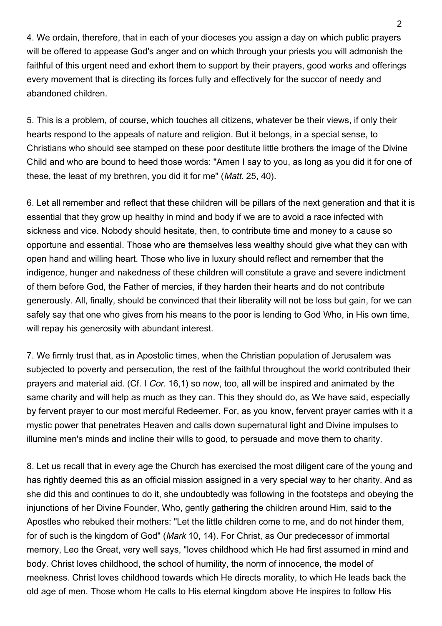4. We ordain, therefore, that in each of your dioceses you assign a day on which public prayers will be offered to appease God's anger and on which through your priests you will admonish the faithful of this urgent need and exhort them to support by their prayers, good works and offerings every movement that is directing its forces fully and effectively for the succor of needy and abandoned children.

5. This is a problem, of course, which touches all citizens, whatever be their views, if only their hearts respond to the appeals of nature and religion. But it belongs, in a special sense, to Christians who should see stamped on these poor destitute little brothers the image of the Divine Child and who are bound to heed those words: "Amen I say to you, as long as you did it for one of these, the least of my brethren, you did it for me" (*Matt.* 25, 40).

6. Let all remember and reflect that these children will be pillars of the next generation and that it is essential that they grow up healthy in mind and body if we are to avoid a race infected with sickness and vice. Nobody should hesitate, then, to contribute time and money to a cause so opportune and essential. Those who are themselves less wealthy should give what they can with open hand and willing heart. Those who live in luxury should reflect and remember that the indigence, hunger and nakedness of these children will constitute a grave and severe indictment of them before God, the Father of mercies, if they harden their hearts and do not contribute generously. All, finally, should be convinced that their liberality will not be loss but gain, for we can safely say that one who gives from his means to the poor is lending to God Who, in His own time, will repay his generosity with abundant interest.

7. We firmly trust that, as in Apostolic times, when the Christian population of Jerusalem was subjected to poverty and persecution, the rest of the faithful throughout the world contributed their prayers and material aid. (Cf. I Cor. 16,1) so now, too, all will be inspired and animated by the same charity and will help as much as they can. This they should do, as We have said, especially by fervent prayer to our most merciful Redeemer. For, as you know, fervent prayer carries with it a mystic power that penetrates Heaven and calls down supernatural light and Divine impulses to illumine men's minds and incline their wills to good, to persuade and move them to charity.

8. Let us recall that in every age the Church has exercised the most diligent care of the young and has rightly deemed this as an official mission assigned in a very special way to her charity. And as she did this and continues to do it, she undoubtedly was following in the footsteps and obeying the injunctions of her Divine Founder, Who, gently gathering the children around Him, said to the Apostles who rebuked their mothers: "Let the little children come to me, and do not hinder them, for of such is the kingdom of God" (*Mark* 10, 14). For Christ, as Our predecessor of immortal memory, Leo the Great, very well says, "loves childhood which He had first assumed in mind and body. Christ loves childhood, the school of humility, the norm of innocence, the model of meekness. Christ loves childhood towards which He directs morality, to which He leads back the old age of men. Those whom He calls to His eternal kingdom above He inspires to follow His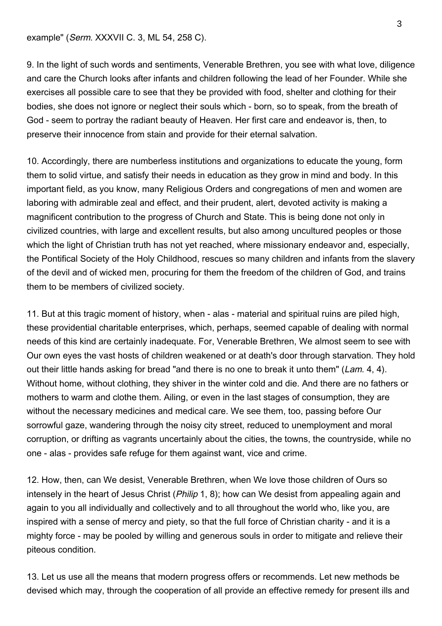example" (Serm. XXXVII C. 3, ML 54, 258 C).

9. In the light of such words and sentiments, Venerable Brethren, you see with what love, diligence and care the Church looks after infants and children following the lead of her Founder. While she exercises all possible care to see that they be provided with food, shelter and clothing for their bodies, she does not ignore or neglect their souls which - born, so to speak, from the breath of God - seem to portray the radiant beauty of Heaven. Her first care and endeavor is, then, to preserve their innocence from stain and provide for their eternal salvation.

10. Accordingly, there are numberless institutions and organizations to educate the young, form them to solid virtue, and satisfy their needs in education as they grow in mind and body. In this important field, as you know, many Religious Orders and congregations of men and women are laboring with admirable zeal and effect, and their prudent, alert, devoted activity is making a magnificent contribution to the progress of Church and State. This is being done not only in civilized countries, with large and excellent results, but also among uncultured peoples or those which the light of Christian truth has not yet reached, where missionary endeavor and, especially, the Pontifical Society of the Holy Childhood, rescues so many children and infants from the slavery of the devil and of wicked men, procuring for them the freedom of the children of God, and trains them to be members of civilized society.

11. But at this tragic moment of history, when - alas - material and spiritual ruins are piled high, these providential charitable enterprises, which, perhaps, seemed capable of dealing with normal needs of this kind are certainly inadequate. For, Venerable Brethren, We almost seem to see with Our own eyes the vast hosts of children weakened or at death's door through starvation. They hold out their little hands asking for bread "and there is no one to break it unto them" (Lam. 4, 4). Without home, without clothing, they shiver in the winter cold and die. And there are no fathers or mothers to warm and clothe them. Ailing, or even in the last stages of consumption, they are without the necessary medicines and medical care. We see them, too, passing before Our sorrowful gaze, wandering through the noisy city street, reduced to unemployment and moral corruption, or drifting as vagrants uncertainly about the cities, the towns, the countryside, while no one - alas - provides safe refuge for them against want, vice and crime.

12. How, then, can We desist, Venerable Brethren, when We love those children of Ours so intensely in the heart of Jesus Christ (*Philip* 1, 8); how can We desist from appealing again and again to you all individually and collectively and to all throughout the world who, like you, are inspired with a sense of mercy and piety, so that the full force of Christian charity - and it is a mighty force - may be pooled by willing and generous souls in order to mitigate and relieve their piteous condition.

13. Let us use all the means that modern progress offers or recommends. Let new methods be devised which may, through the cooperation of all provide an effective remedy for present ills and